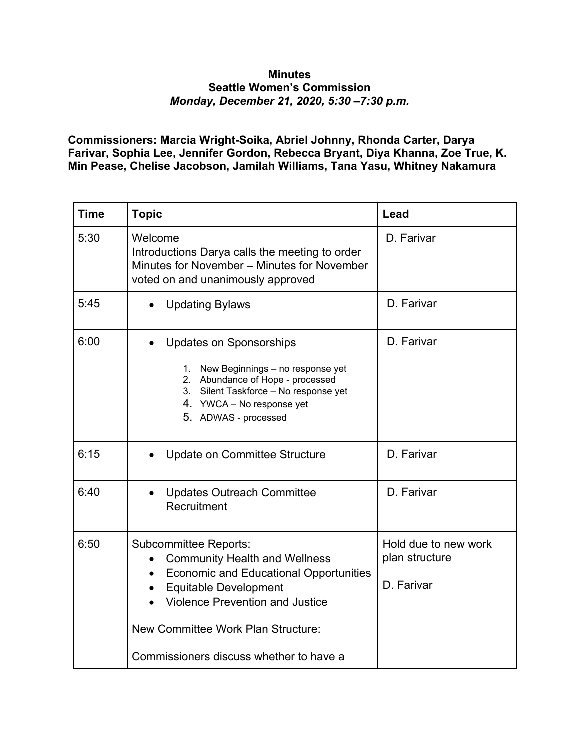## **Minutes Seattle Women's Commission** *Monday, December 21, 2020, 5:30 –7:30 p.m.*

**Commissioners: Marcia Wright-Soika, Abriel Johnny, Rhonda Carter, Darya Farivar, Sophia Lee, Jennifer Gordon, Rebecca Bryant, Diya Khanna, Zoe True, K. Min Pease, Chelise Jacobson, Jamilah Williams, Tana Yasu, Whitney Nakamura**

| <b>Time</b> | <b>Topic</b>                                                                                                                                                                                                                                                                                  | Lead                                                 |
|-------------|-----------------------------------------------------------------------------------------------------------------------------------------------------------------------------------------------------------------------------------------------------------------------------------------------|------------------------------------------------------|
| 5:30        | Welcome<br>Introductions Darya calls the meeting to order<br>Minutes for November – Minutes for November<br>voted on and unanimously approved                                                                                                                                                 | D. Farivar                                           |
| 5:45        | <b>Updating Bylaws</b>                                                                                                                                                                                                                                                                        | D. Farivar                                           |
| 6:00        | <b>Updates on Sponsorships</b><br>1. New Beginnings - no response yet<br>2. Abundance of Hope - processed<br>Silent Taskforce - No response yet<br>3.<br>4. YWCA – No response yet<br>5. ADWAS - processed                                                                                    | D. Farivar                                           |
| 6:15        | Update on Committee Structure                                                                                                                                                                                                                                                                 | D. Farivar                                           |
| 6:40        | <b>Updates Outreach Committee</b><br>Recruitment                                                                                                                                                                                                                                              | D. Farivar                                           |
| 6:50        | <b>Subcommittee Reports:</b><br><b>Community Health and Wellness</b><br><b>Economic and Educational Opportunities</b><br>$\bullet$<br><b>Equitable Development</b><br><b>Violence Prevention and Justice</b><br>New Committee Work Plan Structure:<br>Commissioners discuss whether to have a | Hold due to new work<br>plan structure<br>D. Farivar |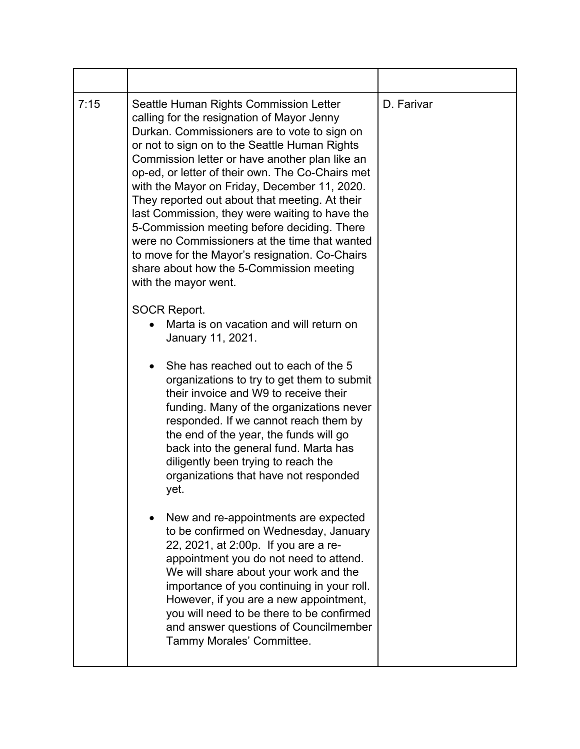| 7:15 | Seattle Human Rights Commission Letter<br>calling for the resignation of Mayor Jenny<br>Durkan. Commissioners are to vote to sign on<br>or not to sign on to the Seattle Human Rights<br>Commission letter or have another plan like an<br>op-ed, or letter of their own. The Co-Chairs met<br>with the Mayor on Friday, December 11, 2020.<br>They reported out about that meeting. At their<br>last Commission, they were waiting to have the<br>5-Commission meeting before deciding. There<br>were no Commissioners at the time that wanted<br>to move for the Mayor's resignation. Co-Chairs<br>share about how the 5-Commission meeting<br>with the mayor went. | D. Farivar |
|------|-----------------------------------------------------------------------------------------------------------------------------------------------------------------------------------------------------------------------------------------------------------------------------------------------------------------------------------------------------------------------------------------------------------------------------------------------------------------------------------------------------------------------------------------------------------------------------------------------------------------------------------------------------------------------|------------|
|      | <b>SOCR Report.</b><br>Marta is on vacation and will return on<br>January 11, 2021.<br>She has reached out to each of the 5<br>$\bullet$<br>organizations to try to get them to submit<br>their invoice and W9 to receive their<br>funding. Many of the organizations never<br>responded. If we cannot reach them by<br>the end of the year, the funds will go<br>back into the general fund. Marta has<br>diligently been trying to reach the<br>organizations that have not responded<br>yet.                                                                                                                                                                       |            |
|      | New and re-appointments are expected<br>to be confirmed on Wednesday, January<br>22, 2021, at 2:00p. If you are a re-<br>appointment you do not need to attend.<br>We will share about your work and the<br>importance of you continuing in your roll.<br>However, if you are a new appointment,<br>you will need to be there to be confirmed<br>and answer questions of Councilmember<br>Tammy Morales' Committee.                                                                                                                                                                                                                                                   |            |